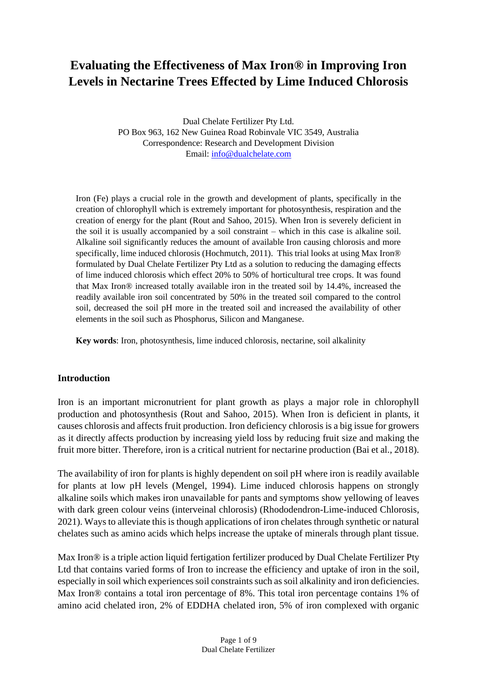# **Evaluating the Effectiveness of Max Iron® in Improving Iron Levels in Nectarine Trees Effected by Lime Induced Chlorosis**

Dual Chelate Fertilizer Pty Ltd. PO Box 963, 162 New Guinea Road Robinvale VIC 3549, Australia Correspondence: Research and Development Division Email: [info@dualchelate.com](mailto:info@dualchelate.com)

Iron (Fe) plays a crucial role in the growth and development of plants, specifically in the creation of chlorophyll which is extremely important for photosynthesis, respiration and the creation of energy for the plant (Rout and Sahoo, 2015). When Iron is severely deficient in the soil it is usually accompanied by a soil constraint – which in this case is alkaline soil. Alkaline soil significantly reduces the amount of available Iron causing chlorosis and more specifically, lime induced chlorosis (Hochmutch, 2011). This trial looks at using Max Iron® formulated by Dual Chelate Fertilizer Pty Ltd as a solution to reducing the damaging effects of lime induced chlorosis which effect 20% to 50% of horticultural tree crops. It was found that Max Iron® increased totally available iron in the treated soil by 14.4%, increased the readily available iron soil concentrated by 50% in the treated soil compared to the control soil, decreased the soil pH more in the treated soil and increased the availability of other elements in the soil such as Phosphorus, Silicon and Manganese.

**Key words**: Iron, photosynthesis, lime induced chlorosis, nectarine, soil alkalinity

#### **Introduction**

Iron is an important micronutrient for plant growth as plays a major role in chlorophyll production and photosynthesis (Rout and Sahoo, 2015). When Iron is deficient in plants, it causes chlorosis and affects fruit production. Iron deficiency chlorosis is a big issue for growers as it directly affects production by increasing yield loss by reducing fruit size and making the fruit more bitter. Therefore, iron is a critical nutrient for nectarine production (Bai et al., 2018).

The availability of iron for plants is highly dependent on soil pH where iron is readily available for plants at low pH levels (Mengel, 1994). Lime induced chlorosis happens on strongly alkaline soils which makes iron unavailable for pants and symptoms show yellowing of leaves with dark green colour veins (interveinal chlorosis) (Rhododendron-Lime-induced Chlorosis, 2021). Ways to alleviate this is though applications of iron chelates through synthetic or natural chelates such as amino acids which helps increase the uptake of minerals through plant tissue.

Max Iron<sup>®</sup> is a triple action liquid fertigation fertilizer produced by Dual Chelate Fertilizer Pty Ltd that contains varied forms of Iron to increase the efficiency and uptake of iron in the soil, especially in soil which experiences soil constraints such as soil alkalinity and iron deficiencies. Max Iron<sup>®</sup> contains a total iron percentage of 8%. This total iron percentage contains 1% of amino acid chelated iron, 2% of EDDHA chelated iron, 5% of iron complexed with organic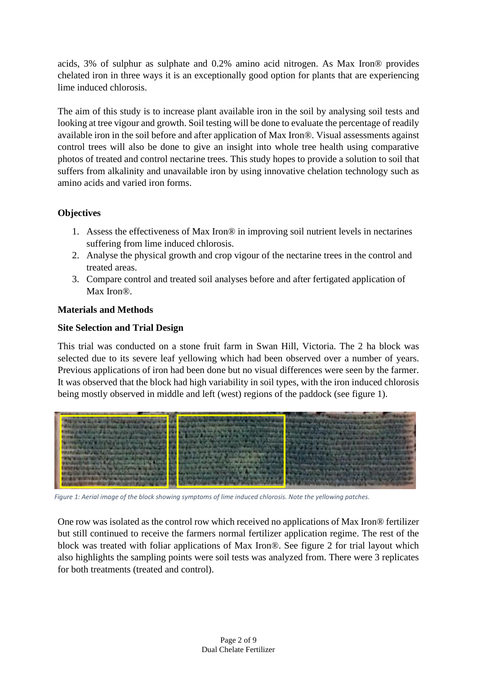acids, 3% of sulphur as sulphate and 0.2% amino acid nitrogen. As Max Iron® provides chelated iron in three ways it is an exceptionally good option for plants that are experiencing lime induced chlorosis.

The aim of this study is to increase plant available iron in the soil by analysing soil tests and looking at tree vigour and growth. Soil testing will be done to evaluate the percentage of readily available iron in the soil before and after application of Max Iron®. Visual assessments against control trees will also be done to give an insight into whole tree health using comparative photos of treated and control nectarine trees. This study hopes to provide a solution to soil that suffers from alkalinity and unavailable iron by using innovative chelation technology such as amino acids and varied iron forms.

# **Objectives**

- 1. Assess the effectiveness of Max Iron® in improving soil nutrient levels in nectarines suffering from lime induced chlorosis.
- 2. Analyse the physical growth and crop vigour of the nectarine trees in the control and treated areas.
- 3. Compare control and treated soil analyses before and after fertigated application of Max Iron®.

## **Materials and Methods**

## **Site Selection and Trial Design**

This trial was conducted on a stone fruit farm in Swan Hill, Victoria. The 2 ha block was selected due to its severe leaf yellowing which had been observed over a number of years. Previous applications of iron had been done but no visual differences were seen by the farmer. It was observed that the block had high variability in soil types, with the iron induced chlorosis being mostly observed in middle and left (west) regions of the paddock (see figure 1).



*Figure 1: Aerial image of the block showing symptoms of lime induced chlorosis. Note the yellowing patches.*

One row was isolated as the control row which received no applications of Max Iron® fertilizer but still continued to receive the farmers normal fertilizer application regime. The rest of the block was treated with foliar applications of Max Iron®. See figure 2 for trial layout which also highlights the sampling points were soil tests was analyzed from. There were 3 replicates for both treatments (treated and control).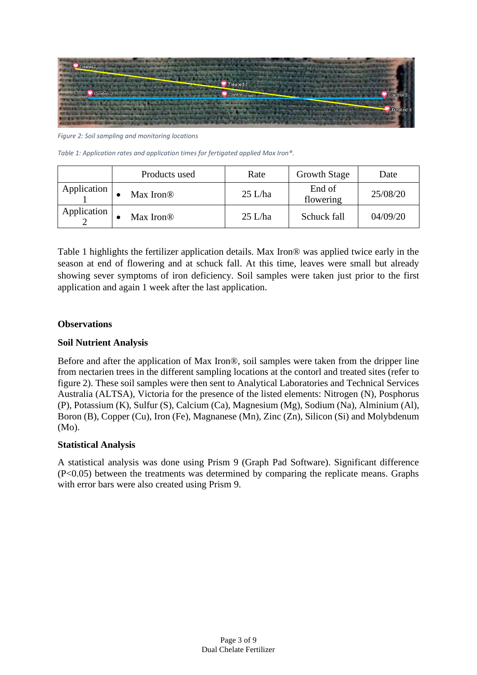

Figure 2: Soil sampling and monitoring locations

*Table 1: Application rates and application times for fertigated applied Max Iron®.* 

|             | Products used         | Rate      | <b>Growth Stage</b> | Date     |
|-------------|-----------------------|-----------|---------------------|----------|
| Application | Max Iron <sup>®</sup> | $25$ L/ha | End of<br>flowering | 25/08/20 |
| Application | Max Iron <sup>®</sup> | $25$ L/ha | Schuck fall         | 04/09/20 |

Table 1 highlights the fertilizer application details. Max Iron® was applied twice early in the season at end of flowering and at schuck fall. At this time, leaves were small but already showing sever symptoms of iron deficiency. Soil samples were taken just prior to the first application and again 1 week after the last application.

#### **Observations**

#### **Soil Nutrient Analysis**

Before and after the application of Max Iron®, soil samples were taken from the dripper line from nectarien trees in the different sampling locations at the contorl and treated sites (refer to figure 2). These soil samples were then sent to Analytical Laboratories and Technical Services Australia (ALTSA), Victoria for the presence of the listed elements: Nitrogen (N), Posphorus (P), Potassium (K), Sulfur (S), Calcium (Ca), Magnesium (Mg), Sodium (Na), Alminium (Al), Boron (B), Copper (Cu), Iron (Fe), Magnanese (Mn), Zinc (Zn), Silicon (Si) and Molybdenum (Mo).

#### **Statistical Analysis**

A statistical analysis was done using Prism 9 (Graph Pad Software). Significant difference (P<0.05) between the treatments was determined by comparing the replicate means. Graphs with error bars were also created using Prism 9.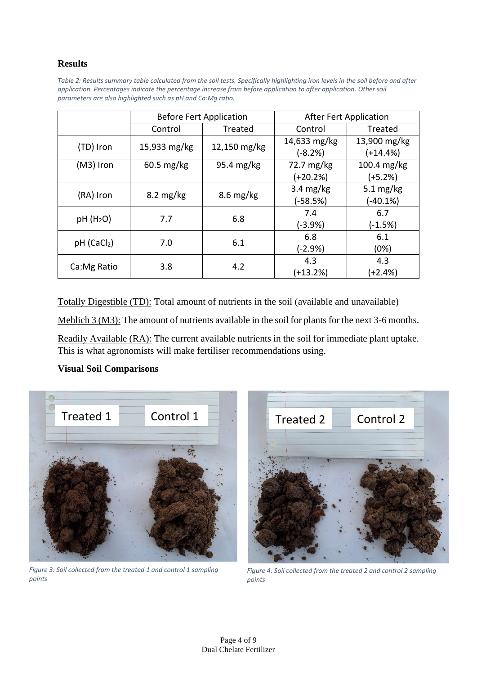# **Results**

*Table 2: Results summary table calculated from the soil tests. Specifically highlighting iron levels in the soil before and after application. Percentages indicate the percentage increase from before application to after application. Other soil parameters are also highlighted such as pH and Ca:Mg ratio.* 

|                         | <b>Before Fert Application</b> |                     | <b>After Fert Application</b> |                          |
|-------------------------|--------------------------------|---------------------|-------------------------------|--------------------------|
|                         | Control                        | Treated             | Control                       | Treated                  |
| (TD) Iron               | 15,933 mg/kg                   | 12,150 mg/kg        | 14,633 mg/kg<br>$(-8.2%)$     | 13,900 mg/kg<br>(+14.4%) |
| $(M3)$ Iron             | 60.5 mg/kg                     | 95.4 mg/kg          | 72.7 mg/kg                    | $100.4$ mg/kg            |
|                         |                                |                     | (+20.2%)                      | (+5.2%)                  |
| (RA) Iron               | $8.2 \text{ mg/kg}$            | $8.6 \text{ mg/kg}$ | $3.4 \text{ mg/kg}$           | 5.1 $mg/kg$              |
|                         |                                |                     | $(-58.5%)$                    | (-40.1%)                 |
| pH(H <sub>2</sub> O)    | 7.7                            | 6.8                 | 7.4                           | 6.7                      |
|                         |                                |                     | $(-3.9%)$                     | $(-1.5%)$                |
|                         | 7.0                            | 6.1                 | 6.8                           | 6.1                      |
| pH (CaCl <sub>2</sub> ) |                                |                     | $(-2.9%)$                     | (0%)                     |
|                         | 3.8                            | 4.2                 | 4.3                           | 4.3                      |
| Ca: Mg Ratio            |                                |                     | (+13.2%)                      | (+2.4%)                  |

Totally Digestible (TD): Total amount of nutrients in the soil (available and unavailable)

Mehlich 3 (M3): The amount of nutrients available in the soil for plants for the next 3-6 months.

Readily Available (RA): The current available nutrients in the soil for immediate plant uptake. This is what agronomists will make fertiliser recommendations using.

#### **Visual Soil Comparisons**



*Figure 3: Soil collected from the treated 1 and control 1 sampling points*



*Figure 4: Soil collected from the treated 2 and control 2 sampling points*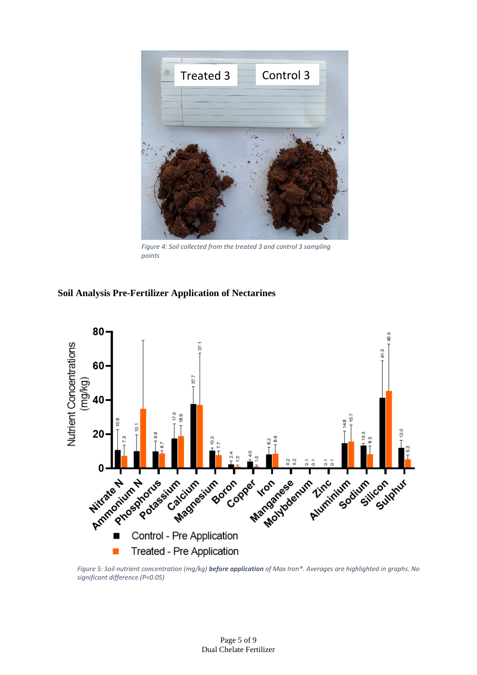

*Figure 4: Soil collected from the treated 3 and control 3 sampling points*

#### **Soil Analysis Pre-Fertilizer Application of Nectarines**



*Figure 5: Soil nutrient concentration (mg/kg) before application of Max Iron®. Averages are highlighted in graphs. No significant difference (P<0.05)*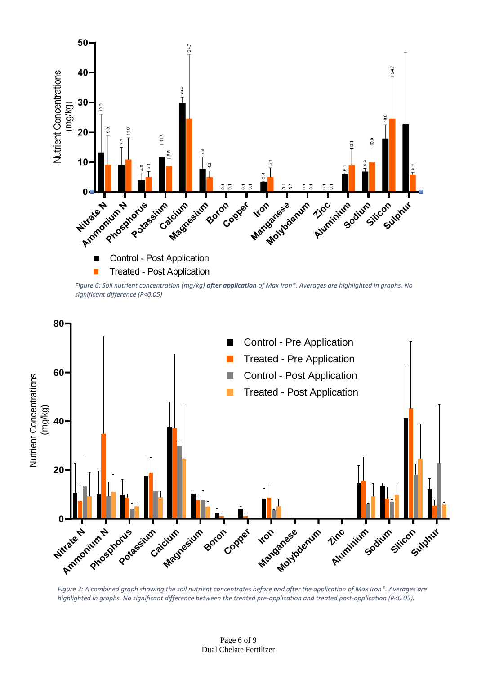

*Figure 6: Soil nutrient concentration (mg/kg) after application of Max Iron®. Averages are highlighted in graphs. No significant difference (P<0.05)*



*Figure 7: A combined graph showing the soil nutrient concentrates before and after the application of Max Iron®. Averages are highlighted in graphs. No significant difference between the treated pre-application and treated post-application (P<0.05).*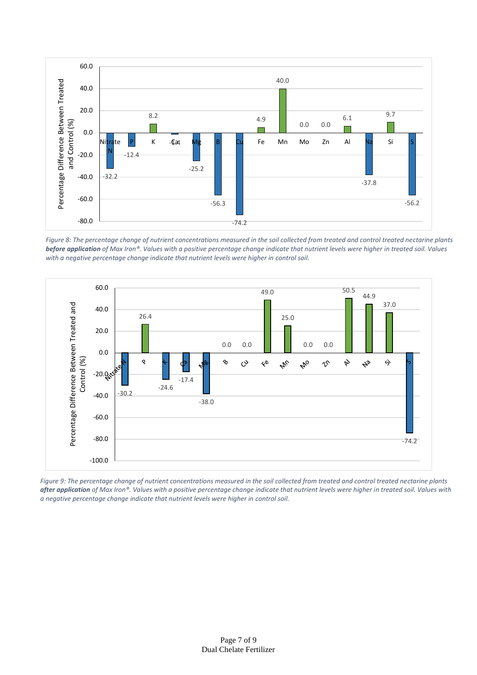

*Figure 8: The percentage change of nutrient concentrations measured in the soil collected from treated and control treated nectarine plants before application of Max Iron®. Values with a positive percentage change indicate that nutrient levels were higher in treated soil. Values with a negative percentage change indicate that nutrient levels were higher in control soil.*



*Figure 9: The percentage change of nutrient concentrations measured in the soil collected from treated and control treated nectarine plants after application of Max Iron®. Values with a positive percentage change indicate that nutrient levels were higher in treated soil. Values with a negative percentage change indicate that nutrient levels were higher in control soil.*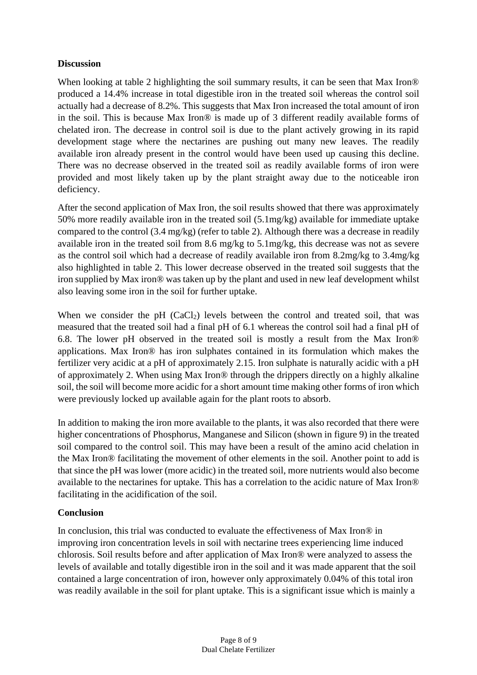## **Discussion**

When looking at table 2 highlighting the soil summary results, it can be seen that Max Iron® produced a 14.4% increase in total digestible iron in the treated soil whereas the control soil actually had a decrease of 8.2%. This suggests that Max Iron increased the total amount of iron in the soil. This is because Max Iron® is made up of 3 different readily available forms of chelated iron. The decrease in control soil is due to the plant actively growing in its rapid development stage where the nectarines are pushing out many new leaves. The readily available iron already present in the control would have been used up causing this decline. There was no decrease observed in the treated soil as readily available forms of iron were provided and most likely taken up by the plant straight away due to the noticeable iron deficiency.

After the second application of Max Iron, the soil results showed that there was approximately 50% more readily available iron in the treated soil (5.1mg/kg) available for immediate uptake compared to the control (3.4 mg/kg) (refer to table 2). Although there was a decrease in readily available iron in the treated soil from 8.6 mg/kg to 5.1mg/kg, this decrease was not as severe as the control soil which had a decrease of readily available iron from 8.2mg/kg to 3.4mg/kg also highlighted in table 2. This lower decrease observed in the treated soil suggests that the iron supplied by Max iron® was taken up by the plant and used in new leaf development whilst also leaving some iron in the soil for further uptake.

When we consider the pH  $(CaCl<sub>2</sub>)$  levels between the control and treated soil, that was measured that the treated soil had a final pH of 6.1 whereas the control soil had a final pH of 6.8. The lower pH observed in the treated soil is mostly a result from the Max Iron® applications. Max Iron® has iron sulphates contained in its formulation which makes the fertilizer very acidic at a pH of approximately 2.15. Iron sulphate is naturally acidic with a pH of approximately 2. When using Max Iron® through the drippers directly on a highly alkaline soil, the soil will become more acidic for a short amount time making other forms of iron which were previously locked up available again for the plant roots to absorb.

In addition to making the iron more available to the plants, it was also recorded that there were higher concentrations of Phosphorus, Manganese and Silicon (shown in figure 9) in the treated soil compared to the control soil. This may have been a result of the amino acid chelation in the Max Iron® facilitating the movement of other elements in the soil. Another point to add is that since the pH was lower (more acidic) in the treated soil, more nutrients would also become available to the nectarines for uptake. This has a correlation to the acidic nature of Max Iron® facilitating in the acidification of the soil.

# **Conclusion**

In conclusion, this trial was conducted to evaluate the effectiveness of Max Iron® in improving iron concentration levels in soil with nectarine trees experiencing lime induced chlorosis. Soil results before and after application of Max Iron® were analyzed to assess the levels of available and totally digestible iron in the soil and it was made apparent that the soil contained a large concentration of iron, however only approximately 0.04% of this total iron was readily available in the soil for plant uptake. This is a significant issue which is mainly a